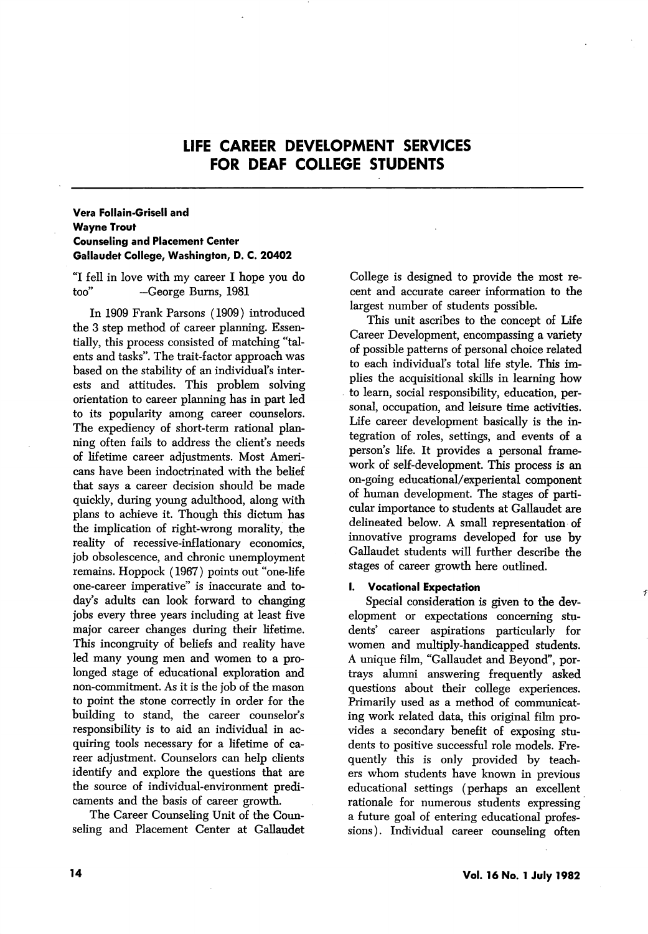# LIFE CAREER DEVELOPMENT SERVICES FOR DEAF COLLEGE STUDENTS

# Vera Follain-Grisell and Wayne Trout Counseling and Placement Center Gallaudet College, Washington, D. C. 20402

"I fell in love with my career I hope you do too'' —George Bums, 1981

In 1909 Frank Parsons (1909) introduced the 3 step method of career planning. Essen tially, this process consisted of matching "tal ents and tasks". The trait-factor approach was based on the stability of an individual's inter ests and attitudes. This problem solving orientation to career planning has in part led to its popularity among career counselors. The expediency of short-term rational plan ning often fails to address the client's needs of lifetime career adjustments. Most Ameri cans have been indoctrinated with the belief that says a career decision should be made quickly, during young adulthood, along with plans to achieve it. Though this dictum has the implication of right-wrong morality, the reality of recessive-inflationary economics, job obsolescence, and chronic unemployment remains. Hoppock (1967) points out "one-life one-career imperative" is inaccurate and to day's adults can look forward to changing jobs every three years including at least five major career changes during their lifetime. This incongruity of beliefs and reality have led many young men and women to a pro longed stage of educational exploration and non-commitment. As it is the job of the mason to point the stone correctly in order for the building to stand, the career counselor's responsibility is to aid an individual in ac quiring tools necessary for a lifetime of ca reer adjustment. Counselors can help clients identify and explore the questions that are the source of individual-environment predi caments and the basis of career growth.

The Career Counseling Unit of the Coun seling and Placement Center at Callaudet College is designed to provide the most re cent and accurate career information to the largest number of students possible.

This unit ascribes to the concept of Life Career Development, encompassing a variety of possible patterns of personal choice related to each individual's total life style. This im plies the acquisitional skills in learning how to learn, social responsibility, education, per sonal, occupation, and leisure time activities. Life career development basically is the in tegration of roles, settings, and events of a person's life. It provides a personal frame work of self-development. This process is an on-going educational/experiental component of human development. The stages of parti cular importance to students at Callaudet are delineated below. A small representation of innovative programs developed for use by Callaudet students will further describe the stages of career growth here outlined.

### I. Vocational Expectation

Special consideration is given to the dev elopment or expectations concerning stu dents' career aspirations particularly for women and multiply-handicapped students. A unique film, "Callaudet and Beyond", por trays alumni answering frequently asked questions about their college experiences. Primarily used as a method of communicat ing work related data, this original film pro vides a secondary benefit of exposing stu dents to positive successful role models. Fre quently this is only provided by teach ers whom students have known in previous educational settings (perhaps an excellent rationale for numerous students expressing a future goal of entering educational profes sions ). Individual career counseling often

 $\mathcal{F}$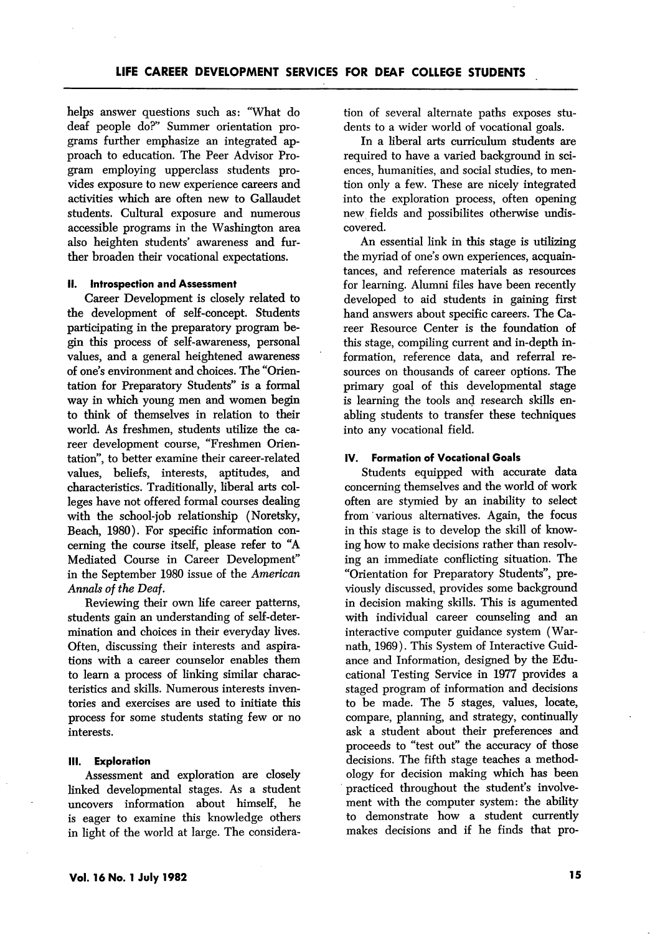helps answer questions such as: "What do deaf people do?'' Summer orientation pro grams further emphasize an integrated ap proach to education. The Peer Advisor Pro gram employing upperclass students pro vides exposure to new experience careers and activities which are often new to Gallaudet students. Cultural exposure and numerous accessible programs in the Washington area also heighten students' awareness and fur ther broaden their vocational expectations.

#### II. Introspection and Assessment

Career Development is closely related to the development of self-concept. Students participating in the preparatory program be gin this process of self-awareness, personal values, and a general heightened awareness of one's environment and choices. The "Orien tation for Preparatory Students" is a formal way in which young men and women begin to think of themselves in relation to their world. As freshmen, students utilize the ca reer development course, "Freshmen Orien tation", to better examine their career-related values, beliefs, interests, aptitudes, and characteristics. Traditionally, liberal arts col leges have not offered formal courses dealing with the school-job relationship (Noretsky, Beach, 1980). For specific information con cerning the course itself, please refer to "A Mediated Course in Career Development" in the September 1980 issue of the American Annals of the Deaf.

Reviewing their own life career patterns, students gain an understanding of self-deter mination and choices in their everyday lives. Often, discussing their interests and aspira tions with a career counselor enables them to leam a process of linking similar charac teristics and skills. Numerous interests inven tories and exercises are used to initiate this process for some students stating few or no interests.

#### III. Exploration

Assessment and exploration are closely linked developmental stages. As a student uncovers information about himself, he is eager to examine this knowledge others in light of the world at large. The considera

tion of several alternate paths exposes stu dents to a wider world of vocational goals.

In a liberal arts curriculum students are required to have a varied background in sci ences, humanities, and social studies, to men tion only a few. These are nicely integrated into the exploration process, often opening new fields and possibilites otherwise undis covered.

An essential link in this stage is utilizing the myriad of one's own experiences, acquain tances, and reference materials as resources for learning. Alumni files have been recently developed to aid students in gaining first hand answers about specific careers. The Ca reer Resource Center is the foundation of this stage, compiling current and in-depth in formation, reference data, and referral re sources on thousands of career options. The primary goal of this developmental stage is learning the tools and research skills en abling students to transfer these techniques into any vocational field.

#### IV. Formation of Vocational Goals

Students equipped with accurate data concerning themselves and the world of work often are stymied by an inability to select from various alternatives. Again, the focus in this stage is to develop the skill of know ing how to make decisions rather than resolv ing an immediate conflicting situation. The "Orientation for Preparatory Students", pre viously discussed, provides some background in decision making skills. This is agumented with individual career counseling and an interactive computer guidance system (Warnath, 1969). This System of Interactive Guid ance and Information, designed by the Edu cational Testing Service in 1977 provides a staged program of information and decisions to be made. The 5 stages, values, locate, compare, planning, and strategy, continually ask a student about their preferences and proceeds to "test out" the accuracy of those decisions. The fifth stage teaches a method ology for decision making which has been practiced throughout the student's involve ment with the computer system: the ability to demonstrate how a student currently makes decisions and if he finds that pro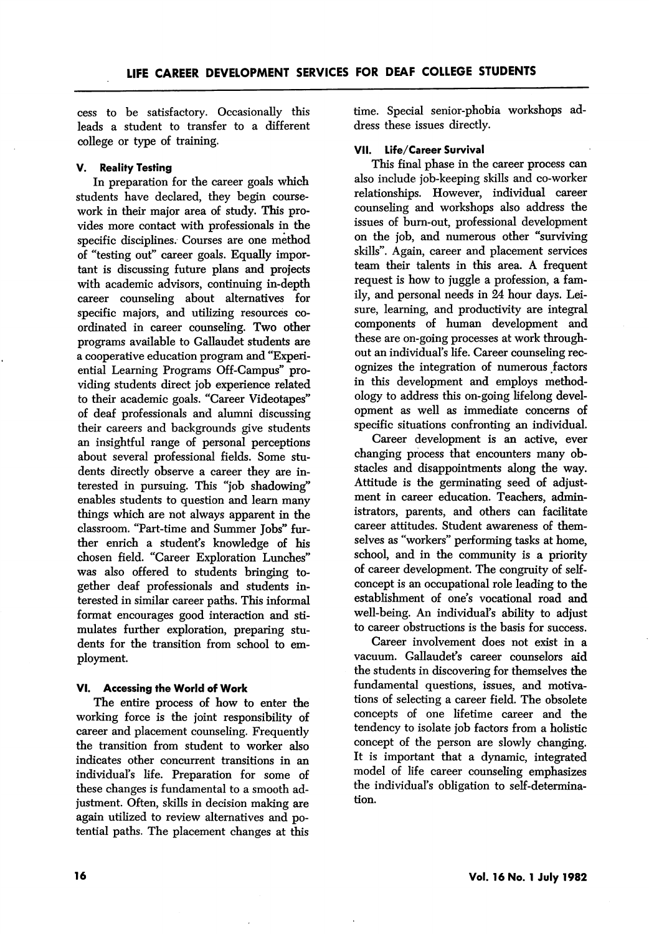cess to be satisfactory. Occasionally this leads a student to transfer to a different college or type of training.

### V. Reality Testing

In preparation for the career goals which students have declared, they begin coursework in their major area of study. This pro vides more contact with professionals in the specific disciplines. Courses are one method of "testing out" career goals. Equally impor tant is discussing future plans and projects with academic advisors, continuing in-depth career counseling about alternatives for specific majors, and utilizing resources co ordinated in career counseling. Two other programs available to Gallaudet students are a cooperative education program and "Experi ential Learning Programs Off-Campus" pro viding students direct job experience related to their academic goals. "Career Videotapes" of deaf professionals and alumni discussing their careers and backgrounds give students an insightful range of personal perceptions about several professional fields. Some stu dents directly observe a career they are in terested in pursuing. This "job shadowing" enables students to question and learn many things which are not always apparent in the classroom. "Part-time and Summer Jobs" fur ther enrich a student's knowledge of his chosen field. "Career Exploration Lunches" was also offered to students bringing to gether deaf professionals and students in terested in similar career paths. This informal format encourages good interaction and sti mulates further exploration, preparing stu dents for the transition from school to em ployment.

## VI. Accessing the World of Work

The entire process of how to enter the working force is the joint responsibility of career and placement counseling. Frequently the transition from student to worker also indicates other concurrent transitions in an individual's life. Preparation for some of these changes is fundamental to a smooth ad justment. Often, skills in decision making are again utilized to review alternatives and po tential paths. The placement changes at this

time. Special senior-phobia workshops ad dress these issues directly.

#### VII. Life/Career Survival

This final phase in the career process can also include job-keeping skills and co-worker relationships. However, individual career counseling and workshops also address the issues of burn-out, professional development on the job, and numerous other "surviving skills". Again, career and placement services team their talents in this area. A frequent request is how to juggle a profession, a fam ily, and personal needs in 24 hour days. Lei sure, learning, and productivity are integral components of human development and these are on-going processes at work through out an individual's life. Career counseling rec ognizes the integration of numerous factors in this development and employs method ology to address this on-going lifelong devel opment as well as immediate concerns of specific situations confronting an individual.

Career development is an active, ever changing process that encounters many ob stacles and disappointments along the way. Attitude is the germinating seed of adjust ment in career education. Teachers, admin istrators, parents, and others can facilitate career attitudes. Student awareness of them selves as "workers" performing tasks at home, school, and in the community is a priority of career development. The congruity of selfconcept is an occupational role leading to the establishment of one's vocational road and well-being. An individual's ability to adjust to career obstructions is the basis for success.

Career involvement does not exist in a vacuum. Gallaudet's career counselors aid the students in discovering for themselves the fundamental questions, issues, and motiva tions of selecting a career field. The obsolete concepts of one lifetime career and the tendency to isolate job factors from a holistic concept of the person are slowly changing. It is important that a dynamic, integrated model of life career counseling emphasizes the individual's obligation to self-determina tion.